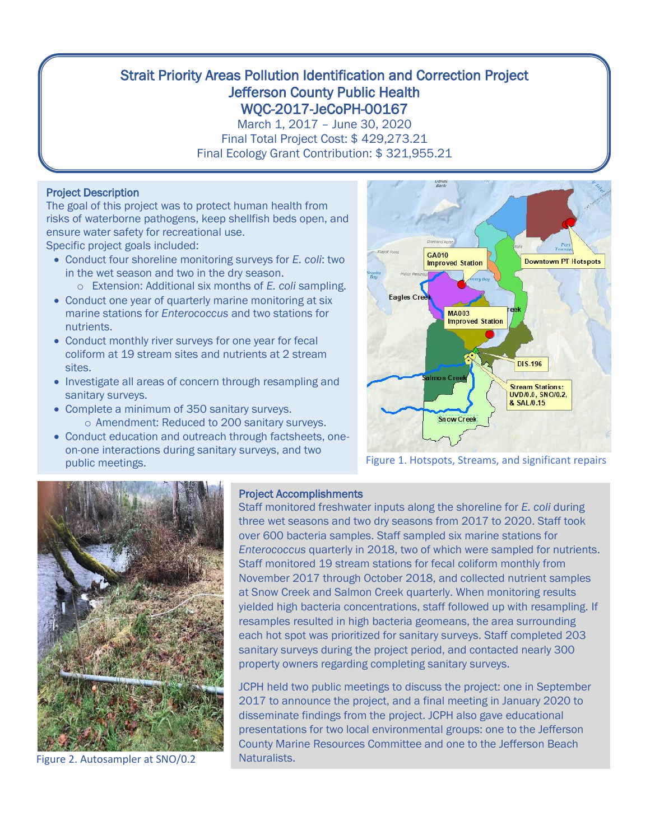# Strait Priority Areas Pollution Identification and Correction Project Jefferson County Public Health WQC-2017-JeCoPH-00167

March 1, 2017 – June 30, 2020 Final Total Project Cost: \$ 429,273.21 Final Ecology Grant Contribution: \$ 321,955.21

## Project Description

The goal of this project was to protect human health from risks of waterborne pathogens, keep shellfish beds open, and ensure water safety for recreational use. Specific project goals included:

- Conduct four shoreline monitoring surveys for *E. coli*: two in the wet season and two in the dry season.
	- o Extension: Additional six months of *E. coli* sampling.
- Conduct one year of quarterly marine monitoring at six marine stations for *Enterococcus* and two stations for nutrients.
- Conduct monthly river surveys for one year for fecal coliform at 19 stream sites and nutrients at 2 stream sites.
- Investigate all areas of concern through resampling and sanitary surveys.
- Complete a minimum of 350 sanitary surveys. o Amendment: Reduced to 200 sanitary surveys.
- Conduct education and outreach through factsheets, oneon-one interactions during sanitary surveys, and two public meetings.



Figure 1. Hotspots, Streams, and significant repairs



Figure 2. Autosampler at SNO/0.2

### Project Accomplishments

Staff monitored freshwater inputs along the shoreline for *E. coli* during three wet seasons and two dry seasons from 2017 to 2020. Staff took over 600 bacteria samples. Staff sampled six marine stations for *Enterococcus* quarterly in 2018, two of which were sampled for nutrients. Staff monitored 19 stream stations for fecal coliform monthly from November 2017 through October 2018, and collected nutrient samples at Snow Creek and Salmon Creek quarterly. When monitoring results yielded high bacteria concentrations, staff followed up with resampling. If resamples resulted in high bacteria geomeans, the area surrounding each hot spot was prioritized for sanitary surveys. Staff completed 203 sanitary surveys during the project period, and contacted nearly 300 property owners regarding completing sanitary surveys.

JCPH held two public meetings to discuss the project: one in September 2017 to announce the project, and a final meeting in January 2020 to disseminate findings from the project. JCPH also gave educational presentations for two local environmental groups: one to the Jefferson County Marine Resources Committee and one to the Jefferson Beach Naturalists.